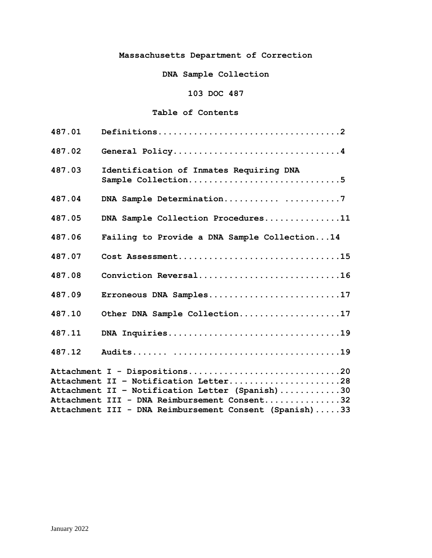# **Massachusetts Department of Correction**

**DNA Sample Collection**

# **103 DOC 487**

## **Table of Contents**

| 487.01 |                                                                                                                           |
|--------|---------------------------------------------------------------------------------------------------------------------------|
| 487.02 | General Policy4                                                                                                           |
| 487.03 | Identification of Inmates Requiring DNA<br>Sample Collection5                                                             |
| 487.04 | DNA Sample Determination7                                                                                                 |
| 487.05 | DNA Sample Collection Procedures11                                                                                        |
| 487.06 | Failing to Provide a DNA Sample Collection14                                                                              |
| 487.07 | Cost Assessment15                                                                                                         |
| 487.08 | Conviction Reversal16                                                                                                     |
| 487.09 | Erroneous DNA Samples17                                                                                                   |
| 487.10 | Other DNA Sample Collection17                                                                                             |
| 487.11 | DNA Inquiries19                                                                                                           |
| 487.12 |                                                                                                                           |
|        | Attachment I - Dispositions20<br>Attachment II - Notification Letter28<br>Attachment II - Notification Letter (Spanish)30 |
|        | Attachment III - DNA Reimbursement Consent32                                                                              |
|        | Attachment III - DNA Reimbursement Consent (Spanish)33                                                                    |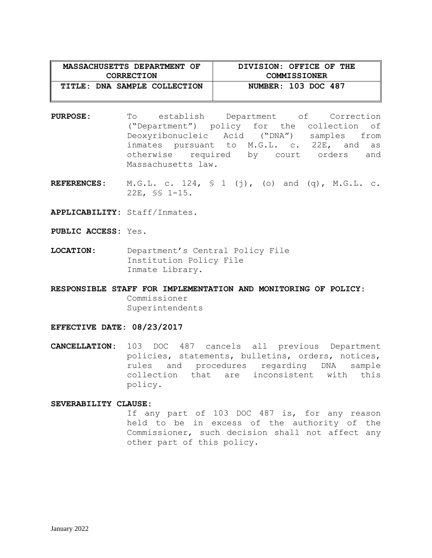| MASSACHUSETTS DEPARTMENT OF  | DIVISION: OFFICE OF THE |
|------------------------------|-------------------------|
| <b>CORRECTION</b>            | <b>COMMISSIONER</b>     |
| TITLE: DNA SAMPLE COLLECTION | NUMBER: 103 DOC 487     |

- **PURPOSE:** To establish Department of Correction ("Department") policy for the collection of Deoxyribonucleic Acid ("DNA") samples from inmates pursuant to M.G.L. c. 22E, and as otherwise required by court orders and Massachusetts law.
- **REFERENCES:** M.G.L. c. 124, § 1 (j), (o) and (q), M.G.L. c. 22E, §§ 1-15.

**APPLICABILITY:** Staff/Inmates.

**PUBLIC ACCESS:** Yes.

**LOCATION:** Department's Central Policy File Institution Policy File Inmate Library.

**RESPONSIBLE STAFF FOR IMPLEMENTATION AND MONITORING OF POLICY:** Commissioner Superintendents

#### **EFFECTIVE DATE: 08/23/2017**

**CANCELLATION:** 103 DOC 487 cancels all previous Department policies, statements, bulletins, orders, notices, rules and procedures regarding DNA sample collection that are inconsistent with this policy.

#### **SEVERABILITY CLAUSE:**

If any part of 103 DOC 487 is, for any reason held to be in excess of the authority of the Commissioner, such decision shall not affect any other part of this policy.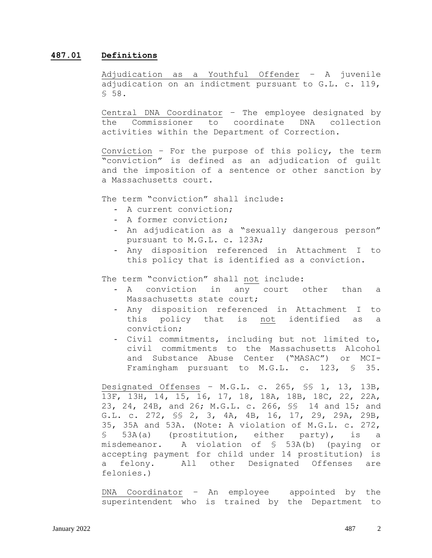#### **487.01 Definitions**

Adjudication as a Youthful Offender – A juvenile adjudication on an indictment pursuant to G.L. c. 119, § 58.

Central DNA Coordinator – The employee designated by the Commissioner to coordinate DNA collection activities within the Department of Correction.

Conviction – For the purpose of this policy, the term "conviction" is defined as an adjudication of guilt and the imposition of a sentence or other sanction by a Massachusetts court.

The term "conviction" shall include:

- A current conviction;
- A former conviction;
- An adjudication as a "sexually dangerous person" pursuant to M.G.L. c. 123A;
- Any disposition referenced in Attachment I to this policy that is identified as a conviction.

The term "conviction" shall not include:

- A conviction in any court other than a Massachusetts state court;
- Any disposition referenced in Attachment I to this policy that is not identified as a conviction;
- Civil commitments, including but not limited to, civil commitments to the Massachusetts Alcohol and Substance Abuse Center ("MASAC") or MCI-Framingham pursuant to M.G.L. c. 123, § 35.

Designated Offenses – M.G.L. c. 265, §§ 1, 13, 13B, 13F, 13H, 14, 15, 16, 17, 18, 18A, 18B, 18C, 22, 22A, 23, 24, 24B, and 26; M.G.L. c. 266, §§ 14 and 15; and G.L. c. 272, §§ 2, 3, 4A, 4B, 16, 17, 29, 29A, 29B, 35, 35A and 53A. (Note: A violation of M.G.L. c. 272, § 53A(a) (prostitution, either party), is a misdemeanor. A violation of § 53A(b) (paying or accepting payment for child under 14 prostitution) is a felony. All other Designated Offenses are felonies.)

DNA Coordinator – An employee appointed by the superintendent who is trained by the Department to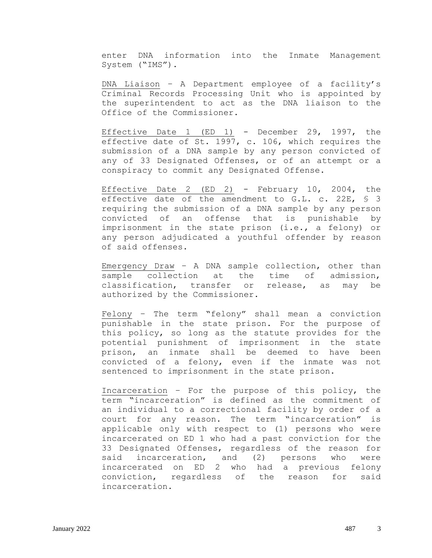enter DNA information into the Inmate Management System ("IMS").

DNA Liaison – A Department employee of a facility's Criminal Records Processing Unit who is appointed by the superintendent to act as the DNA liaison to the Office of the Commissioner.

Effective Date 1 (ED 1) - December 29, 1997, the effective date of St. 1997, c. 106, which requires the submission of a DNA sample by any person convicted of any of 33 Designated Offenses, or of an attempt or a conspiracy to commit any Designated Offense.

Effective Date 2 (ED 2) - February 10, 2004, the effective date of the amendment to G.L. c. 22E, § 3 requiring the submission of a DNA sample by any person convicted of an offense that is punishable by imprisonment in the state prison (i.e., a felony) or any person adjudicated a youthful offender by reason of said offenses.

Emergency Draw – A DNA sample collection, other than sample collection at the time of admission, classification, transfer or release, as may be authorized by the Commissioner.

Felony – The term "felony" shall mean a conviction punishable in the state prison. For the purpose of this policy, so long as the statute provides for the potential punishment of imprisonment in the state prison, an inmate shall be deemed to have been convicted of a felony, even if the inmate was not sentenced to imprisonment in the state prison.

Incarceration – For the purpose of this policy, the term "incarceration" is defined as the commitment of an individual to a correctional facility by order of a court for any reason. The term "incarceration" is applicable only with respect to (1) persons who were incarcerated on ED 1 who had a past conviction for the 33 Designated Offenses, regardless of the reason for said incarceration, and (2) persons who were incarcerated on ED 2 who had a previous felony conviction, regardless of the reason for said incarceration.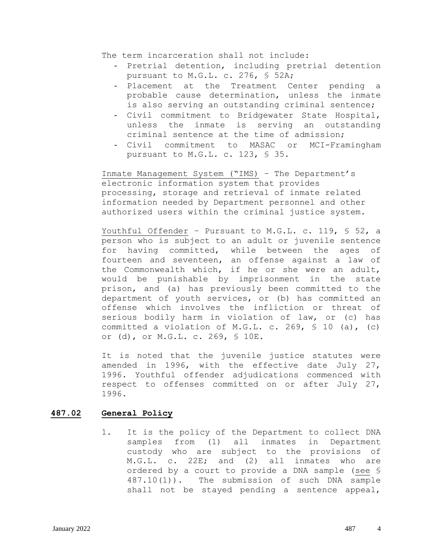The term incarceration shall not include:

- Pretrial detention, including pretrial detention pursuant to M.G.L. c. 276, § 52A;
- Placement at the Treatment Center pending a probable cause determination, unless the inmate is also serving an outstanding criminal sentence;
- Civil commitment to Bridgewater State Hospital, unless the inmate is serving an outstanding criminal sentence at the time of admission;
- Civil commitment to MASAC or MCI-Framingham pursuant to M.G.L. c. 123, § 35.

Inmate Management System ("IMS) – The Department's electronic information system that provides processing, storage and retrieval of inmate related information needed by Department personnel and other authorized users within the criminal justice system.

Youthful Offender - Pursuant to M.G.L. c. 119, § 52, a person who is subject to an adult or juvenile sentence for having committed, while between the ages of fourteen and seventeen, an offense against a law of the Commonwealth which, if he or she were an adult, would be punishable by imprisonment in the state prison, and (a) has previously been committed to the department of youth services, or (b) has committed an offense which involves the infliction or threat of serious bodily harm in violation of law, or (c) has committed a violation of M.G.L. c. 269, § 10 (a), (c) or (d), or M.G.L. c. 269, § 10E.

It is noted that the juvenile justice statutes were amended in 1996, with the effective date July 27, 1996. Youthful offender adjudications commenced with respect to offenses committed on or after July 27, 1996.

## **487.02 General Policy**

1. It is the policy of the Department to collect DNA samples from (1) all inmates in Department custody who are subject to the provisions of M.G.L. c. 22E; and (2) all inmates who are ordered by a court to provide a DNA sample (see § 487.10(1)). The submission of such DNA sample shall not be stayed pending a sentence appeal,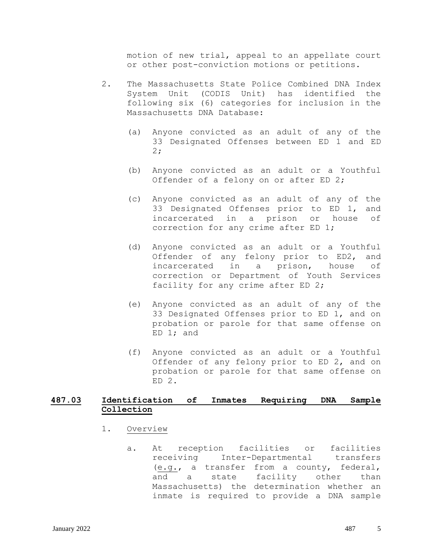motion of new trial, appeal to an appellate court or other post-conviction motions or petitions.

- 2. The Massachusetts State Police Combined DNA Index System Unit (CODIS Unit) has identified the following six (6) categories for inclusion in the Massachusetts DNA Database:
	- (a) Anyone convicted as an adult of any of the 33 Designated Offenses between ED 1 and ED 2;
	- (b) Anyone convicted as an adult or a Youthful Offender of a felony on or after ED 2;
	- (c) Anyone convicted as an adult of any of the 33 Designated Offenses prior to ED 1, and incarcerated in a prison or house of correction for any crime after ED 1;
	- (d) Anyone convicted as an adult or a Youthful Offender of any felony prior to ED2, and incarcerated in a prison, house of correction or Department of Youth Services facility for any crime after ED 2;
	- (e) Anyone convicted as an adult of any of the 33 Designated Offenses prior to ED 1, and on probation or parole for that same offense on ED 1; and
	- (f) Anyone convicted as an adult or a Youthful Offender of any felony prior to ED 2, and on probation or parole for that same offense on ED 2.

## **487.03 Identification of Inmates Requiring DNA Sample Collection**

- 1. Overview
	- a. At reception facilities or facilities receiving Inter-Departmental transfers (e.g., a transfer from a county, federal, and a state facility other than Massachusetts) the determination whether an inmate is required to provide a DNA sample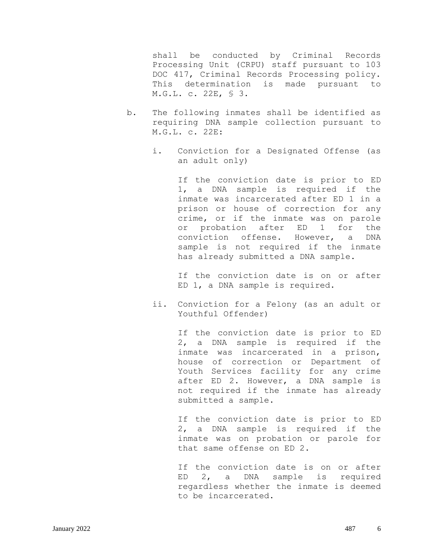shall be conducted by Criminal Records Processing Unit (CRPU) staff pursuant to 103 DOC 417, Criminal Records Processing policy. This determination is made pursuant to M.G.L. c. 22E, § 3.

- b. The following inmates shall be identified as requiring DNA sample collection pursuant to M.G.L. c. 22E:
	- i. Conviction for a Designated Offense (as an adult only)

If the conviction date is prior to ED 1, a DNA sample is required if the inmate was incarcerated after ED 1 in a prison or house of correction for any crime, or if the inmate was on parole or probation after ED 1 for the conviction offense. However, a DNA sample is not required if the inmate has already submitted a DNA sample.

If the conviction date is on or after ED 1, a DNA sample is required.

ii. Conviction for a Felony (as an adult or Youthful Offender)

> If the conviction date is prior to ED 2, a DNA sample is required if the inmate was incarcerated in a prison, house of correction or Department of Youth Services facility for any crime after ED 2. However, a DNA sample is not required if the inmate has already submitted a sample.

> If the conviction date is prior to ED 2, a DNA sample is required if the inmate was on probation or parole for that same offense on ED 2.

> If the conviction date is on or after ED 2, a DNA sample is required regardless whether the inmate is deemed to be incarcerated.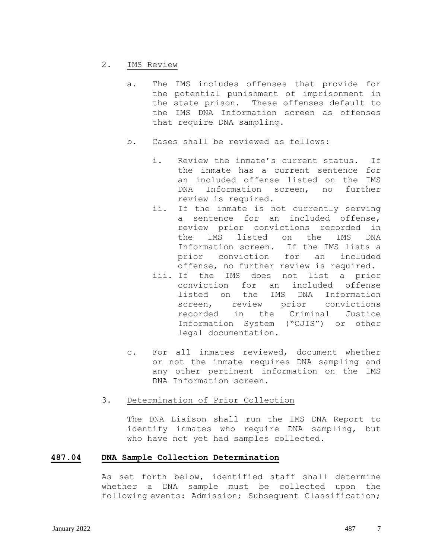#### 2. IMS Review

- a. The IMS includes offenses that provide for the potential punishment of imprisonment in the state prison. These offenses default to the IMS DNA Information screen as offenses that require DNA sampling.
- b. Cases shall be reviewed as follows:
	- i. Review the inmate's current status. If the inmate has a current sentence for an included offense listed on the IMS DNA Information screen, no further review is required.
	- ii. If the inmate is not currently serving a sentence for an included offense, review prior convictions recorded in the IMS listed on the IMS DNA Information screen. If the IMS lists a prior conviction for an included offense, no further review is required.
	- iii. If the IMS does not list a prior conviction for an included offense listed on the IMS DNA Information screen, review prior convictions recorded in the Criminal Justice Information System ("CJIS") or other legal documentation.
- c. For all inmates reviewed, document whether or not the inmate requires DNA sampling and any other pertinent information on the IMS DNA Information screen.

## 3. Determination of Prior Collection

The DNA Liaison shall run the IMS DNA Report to identify inmates who require DNA sampling, but who have not yet had samples collected.

#### **487.04 DNA Sample Collection Determination**

As set forth below, identified staff shall determine whether a DNA sample must be collected upon the following events: Admission; Subsequent Classification;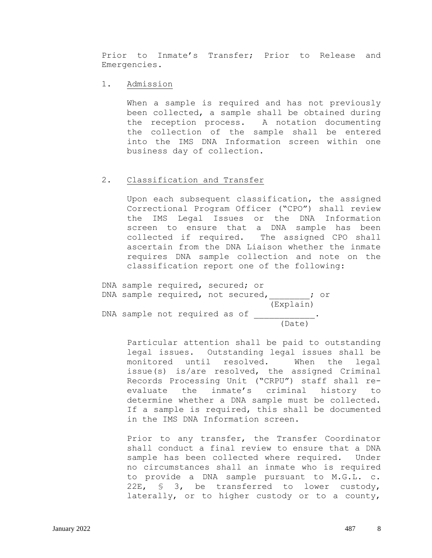Prior to Inmate's Transfer; Prior to Release and Emergencies.

1. Admission

When a sample is required and has not previously been collected, a sample shall be obtained during the reception process. A notation documenting the collection of the sample shall be entered into the IMS DNA Information screen within one business day of collection.

## 2. Classification and Transfer

Upon each subsequent classification, the assigned Correctional Program Officer ("CPO") shall review the IMS Legal Issues or the DNA Information screen to ensure that a DNA sample has been collected if required. The assigned CPO shall ascertain from the DNA Liaison whether the inmate requires DNA sample collection and note on the classification report one of the following:

DNA sample required, secured; or DNA sample required, not secured,  $\qquad \qquad ;$  or (Explain) DNA sample not required as of \_\_\_\_\_\_\_\_\_\_\_  $\frac{1}{(\text{Date})}$ .

> Particular attention shall be paid to outstanding legal issues. Outstanding legal issues shall be monitored until resolved. When the legal issue(s) is/are resolved, the assigned Criminal Records Processing Unit ("CRPU") staff shall reevaluate the inmate's criminal history to determine whether a DNA sample must be collected. If a sample is required, this shall be documented in the IMS DNA Information screen.

> Prior to any transfer, the Transfer Coordinator shall conduct a final review to ensure that a DNA sample has been collected where required. Under no circumstances shall an inmate who is required to provide a DNA sample pursuant to M.G.L. c. 22E, § 3, be transferred to lower custody, laterally, or to higher custody or to a county,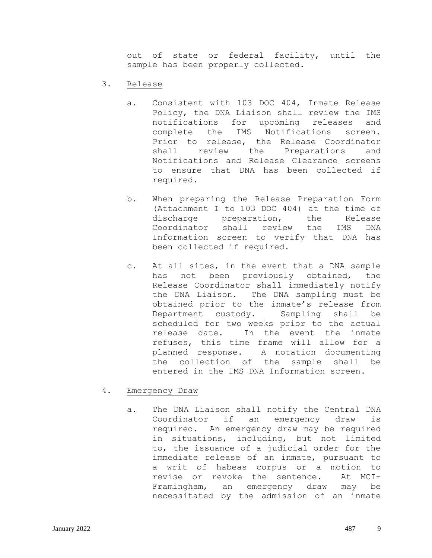out of state or federal facility, until the sample has been properly collected.

- 3. Release
	- a. Consistent with 103 DOC 404, Inmate Release Policy, the DNA Liaison shall review the IMS notifications for upcoming releases and complete the IMS Notifications screen. Prior to release, the Release Coordinator shall review the Preparations and Notifications and Release Clearance screens to ensure that DNA has been collected if required.
	- b. When preparing the Release Preparation Form (Attachment I to 103 DOC 404) at the time of discharge preparation, the Release Coordinator shall review the IMS DNA Information screen to verify that DNA has been collected if required.
	- c. At all sites, in the event that a DNA sample has not been previously obtained, the Release Coordinator shall immediately notify the DNA Liaison. The DNA sampling must be obtained prior to the inmate's release from Department custody. Sampling shall be scheduled for two weeks prior to the actual release date. In the event the inmate refuses, this time frame will allow for a planned response. A notation documenting the collection of the sample shall be entered in the IMS DNA Information screen.
- 4. Emergency Draw
	- a. The DNA Liaison shall notify the Central DNA Coordinator if an emergency draw is required. An emergency draw may be required in situations, including, but not limited to, the issuance of a judicial order for the immediate release of an inmate, pursuant to a writ of habeas corpus or a motion to revise or revoke the sentence. At MCI-Framingham, an emergency draw may be necessitated by the admission of an inmate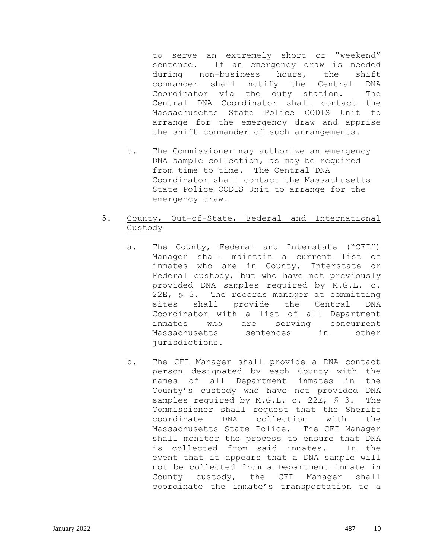to serve an extremely short or "weekend" sentence. If an emergency draw is needed during non-business hours, the shift commander shall notify the Central DNA Coordinator via the duty station. The Central DNA Coordinator shall contact the Massachusetts State Police CODIS Unit to arrange for the emergency draw and apprise the shift commander of such arrangements.

b. The Commissioner may authorize an emergency DNA sample collection, as may be required from time to time. The Central DNA Coordinator shall contact the Massachusetts State Police CODIS Unit to arrange for the emergency draw.

## 5. County, Out-of-State, Federal and International Custody

- a. The County, Federal and Interstate ("CFI") Manager shall maintain a current list of inmates who are in County, Interstate or Federal custody, but who have not previously provided DNA samples required by M.G.L. c. 22E, § 3. The records manager at committing sites shall provide the Central DNA Coordinator with a list of all Department inmates who are serving concurrent Massachusetts sentences in other jurisdictions.
- b. The CFI Manager shall provide a DNA contact person designated by each County with the names of all Department inmates in the County's custody who have not provided DNA samples required by M.G.L. c. 22E, § 3. The Commissioner shall request that the Sheriff coordinate DNA collection with the Massachusetts State Police. The CFI Manager shall monitor the process to ensure that DNA is collected from said inmates. In the event that it appears that a DNA sample will not be collected from a Department inmate in County custody, the CFI Manager shall coordinate the inmate's transportation to a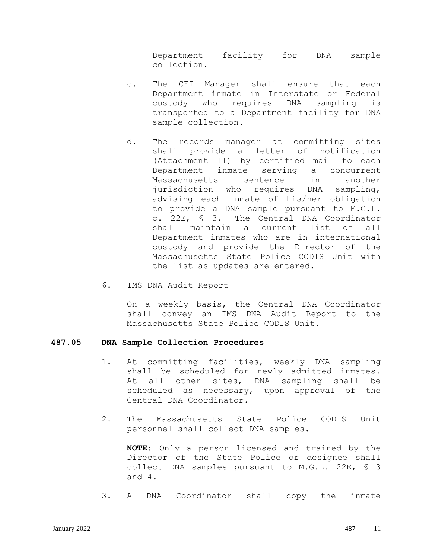Department facility for DNA sample collection.

- c. The CFI Manager shall ensure that each Department inmate in Interstate or Federal custody who requires DNA sampling is transported to a Department facility for DNA sample collection.
- d. The records manager at committing sites shall provide a letter of notification (Attachment II) by certified mail to each Department inmate serving a concurrent Massachusetts sentence in another jurisdiction who requires DNA sampling, advising each inmate of his/her obligation to provide a DNA sample pursuant to M.G.L. c. 22E, § 3. The Central DNA Coordinator shall maintain a current list of all Department inmates who are in international custody and provide the Director of the Massachusetts State Police CODIS Unit with the list as updates are entered.
- 6. IMS DNA Audit Report

On a weekly basis, the Central DNA Coordinator shall convey an IMS DNA Audit Report to the Massachusetts State Police CODIS Unit.

#### **487.05 DNA Sample Collection Procedures**

- 1. At committing facilities, weekly DNA sampling shall be scheduled for newly admitted inmates. At all other sites, DNA sampling shall be scheduled as necessary, upon approval of the Central DNA Coordinator.
- 2. The Massachusetts State Police CODIS Unit personnel shall collect DNA samples.

**NOTE:** Only a person licensed and trained by the Director of the State Police or designee shall collect DNA samples pursuant to M.G.L. 22E, § 3 and 4.

3. A DNA Coordinator shall copy the inmate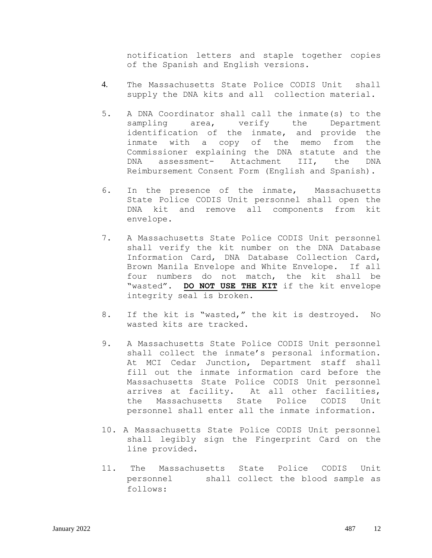notification letters and staple together copies of the Spanish and English versions.

- 4. The Massachusetts State Police CODIS Unit shall supply the DNA kits and all collection material.
- 5. A DNA Coordinator shall call the inmate(s) to the sampling area, verify the Department identification of the inmate, and provide the inmate with a copy of the memo from the Commissioner explaining the DNA statute and the DNA assessment- Attachment III, the DNA Reimbursement Consent Form (English and Spanish).
- 6. In the presence of the inmate, Massachusetts State Police CODIS Unit personnel shall open the DNA kit and remove all components from kit envelope.
- 7. A Massachusetts State Police CODIS Unit personnel shall verify the kit number on the DNA Database Information Card, DNA Database Collection Card, Brown Manila Envelope and White Envelope. If all four numbers do not match, the kit shall be "wasted". **DO NOT USE THE KIT** if the kit envelope integrity seal is broken.
- 8. If the kit is "wasted," the kit is destroyed. No wasted kits are tracked.
- 9. A Massachusetts State Police CODIS Unit personnel shall collect the inmate's personal information. At MCI Cedar Junction, Department staff shall fill out the inmate information card before the Massachusetts State Police CODIS Unit personnel arrives at facility. At all other facilities, the Massachusetts State Police CODIS Unit personnel shall enter all the inmate information.
- 10. A Massachusetts State Police CODIS Unit personnel shall legibly sign the Fingerprint Card on the line provided.
- 11. The Massachusetts State Police CODIS Unit personnel shall collect the blood sample as follows: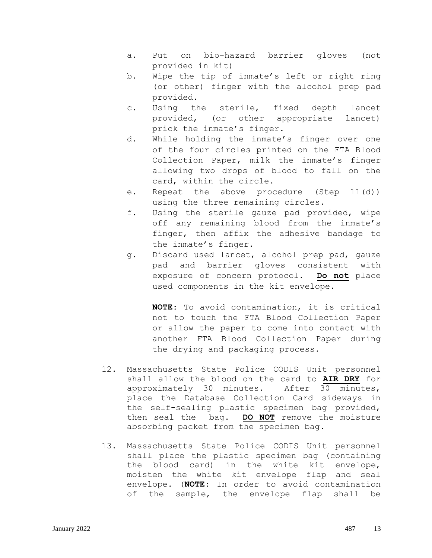- a. Put on bio-hazard barrier gloves (not provided in kit)
- b. Wipe the tip of inmate's left or right ring (or other) finger with the alcohol prep pad provided.
- c. Using the sterile, fixed depth lancet provided, (or other appropriate lancet) prick the inmate's finger.
- d. While holding the inmate's finger over one of the four circles printed on the FTA Blood Collection Paper, milk the inmate's finger allowing two drops of blood to fall on the card, within the circle.
- e. Repeat the above procedure (Step 11(d)) using the three remaining circles.
- f. Using the sterile gauze pad provided, wipe off any remaining blood from the inmate's finger, then affix the adhesive bandage to the inmate's finger.
- g. Discard used lancet, alcohol prep pad, gauze pad and barrier gloves consistent with exposure of concern protocol. **Do not** place used components in the kit envelope.

**NOTE**: To avoid contamination, it is critical not to touch the FTA Blood Collection Paper or allow the paper to come into contact with another FTA Blood Collection Paper during the drying and packaging process.

- 12. Massachusetts State Police CODIS Unit personnel shall allow the blood on the card to **AIR DRY** for approximately 30 minutes. After 30 minutes, place the Database Collection Card sideways in the self-sealing plastic specimen bag provided, then seal the bag. **DO NOT** remove the moisture absorbing packet from the specimen bag.
- 13. Massachusetts State Police CODIS Unit personnel shall place the plastic specimen bag (containing the blood card) in the white kit envelope, moisten the white kit envelope flap and seal envelope. (**NOTE:** In order to avoid contamination of the sample, the envelope flap shall be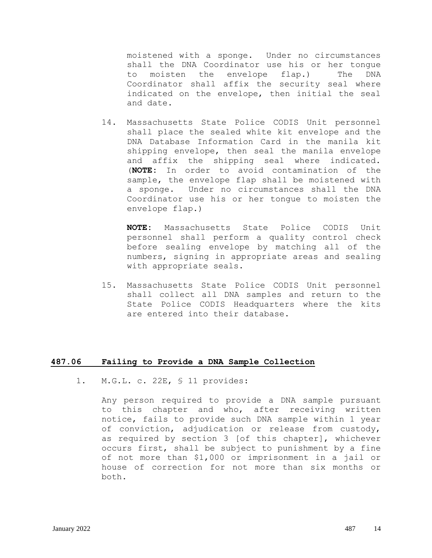moistened with a sponge. Under no circumstances shall the DNA Coordinator use his or her tongue to moisten the envelope flap.) The DNA Coordinator shall affix the security seal where indicated on the envelope, then initial the seal and date.

14. Massachusetts State Police CODIS Unit personnel shall place the sealed white kit envelope and the DNA Database Information Card in the manila kit shipping envelope, then seal the manila envelope and affix the shipping seal where indicated. (**NOTE:** In order to avoid contamination of the sample, the envelope flap shall be moistened with a sponge. Under no circumstances shall the DNA Coordinator use his or her tongue to moisten the envelope flap.)

**NOTE:** Massachusetts State Police CODIS Unit personnel shall perform a quality control check before sealing envelope by matching all of the numbers, signing in appropriate areas and sealing with appropriate seals.

15. Massachusetts State Police CODIS Unit personnel shall collect all DNA samples and return to the State Police CODIS Headquarters where the kits are entered into their database.

#### **487.06 Failing to Provide a DNA Sample Collection**

1. M.G.L. c. 22E, § 11 provides:

Any person required to provide a DNA sample pursuant to this chapter and who, after receiving written notice, fails to provide such DNA sample within 1 year of conviction, adjudication or release from custody, as required by section 3 [of this chapter], whichever occurs first, shall be subject to punishment by a fine of not more than \$1,000 or imprisonment in a jail or house of correction for not more than six months or both.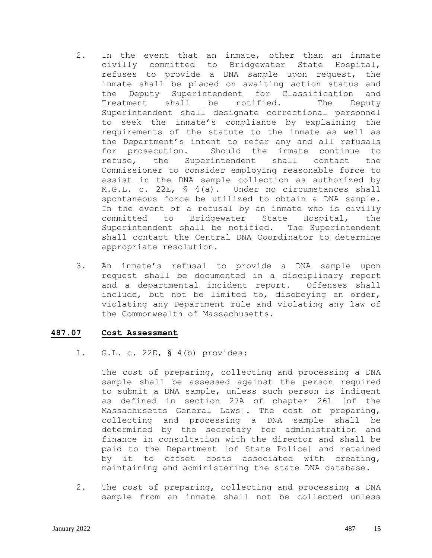- 2. In the event that an inmate, other than an inmate civilly committed to Bridgewater State Hospital, refuses to provide a DNA sample upon request, the inmate shall be placed on awaiting action status and the Deputy Superintendent for Classification and Treatment shall be notified. The Deputy Superintendent shall designate correctional personnel to seek the inmate's compliance by explaining the requirements of the statute to the inmate as well as the Department's intent to refer any and all refusals for prosecution. Should the inmate continue to refuse, the Superintendent shall contact the Commissioner to consider employing reasonable force to assist in the DNA sample collection as authorized by M.G.L. c. 22E, § 4(a). Under no circumstances shall spontaneous force be utilized to obtain a DNA sample. In the event of a refusal by an inmate who is civilly committed to Bridgewater State Hospital, the Superintendent shall be notified. The Superintendent shall contact the Central DNA Coordinator to determine appropriate resolution.
- 3. An inmate's refusal to provide a DNA sample upon request shall be documented in a disciplinary report and a departmental incident report. Offenses shall include, but not be limited to, disobeying an order, violating any Department rule and violating any law of the Commonwealth of Massachusetts.

## **487.07 Cost Assessment**

1. G.L. c. 22E, § 4(b) provides:

The cost of preparing, collecting and processing a DNA sample shall be assessed against the person required to submit a DNA sample, unless such person is indigent as defined in section 27A of chapter 261 [of the Massachusetts General Laws]. The cost of preparing, collecting and processing a DNA sample shall be determined by the secretary for administration and finance in consultation with the director and shall be paid to the Department [of State Police] and retained by it to offset costs associated with creating, maintaining and administering the state DNA database.

2. The cost of preparing, collecting and processing a DNA sample from an inmate shall not be collected unless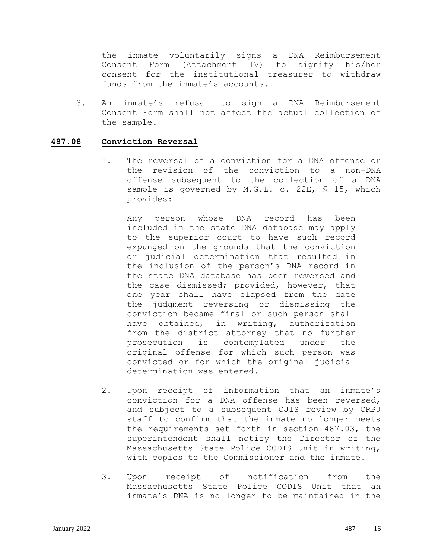the inmate voluntarily signs a DNA Reimbursement Consent Form (Attachment IV) to signify his/her consent for the institutional treasurer to withdraw funds from the inmate's accounts.

3. An inmate's refusal to sign a DNA Reimbursement Consent Form shall not affect the actual collection of the sample.

#### **487.08 Conviction Reversal**

1. The reversal of a conviction for a DNA offense or the revision of the conviction to a non-DNA offense subsequent to the collection of a DNA sample is governed by M.G.L. c. 22E, § 15, which provides:

Any person whose DNA record has been included in the state DNA database may apply to the superior court to have such record expunged on the grounds that the conviction or judicial determination that resulted in the inclusion of the person's DNA record in the state DNA database has been reversed and the case dismissed; provided, however, that one year shall have elapsed from the date the judgment reversing or dismissing the conviction became final or such person shall have obtained, in writing, authorization from the district attorney that no further prosecution is contemplated under the original offense for which such person was convicted or for which the original judicial determination was entered.

- 2. Upon receipt of information that an inmate's conviction for a DNA offense has been reversed, and subject to a subsequent CJIS review by CRPU staff to confirm that the inmate no longer meets the requirements set forth in section 487.03, the superintendent shall notify the Director of the Massachusetts State Police CODIS Unit in writing, with copies to the Commissioner and the inmate.
- 3. Upon receipt of notification from the Massachusetts State Police CODIS Unit that an inmate's DNA is no longer to be maintained in the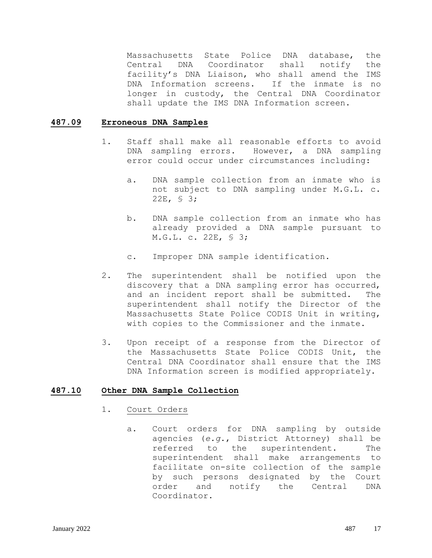Massachusetts State Police DNA database, the Central DNA Coordinator shall notify the facility's DNA Liaison, who shall amend the IMS DNA Information screens. If the inmate is no longer in custody, the Central DNA Coordinator shall update the IMS DNA Information screen.

#### **487.09 Erroneous DNA Samples**

- 1. Staff shall make all reasonable efforts to avoid DNA sampling errors. However, a DNA sampling error could occur under circumstances including:
	- a. DNA sample collection from an inmate who is not subject to DNA sampling under M.G.L. c. 22E, § 3;
	- b. DNA sample collection from an inmate who has already provided a DNA sample pursuant to M.G.L. c. 22E, § 3;
	- c. Improper DNA sample identification.
- 2. The superintendent shall be notified upon the discovery that a DNA sampling error has occurred, and an incident report shall be submitted. The superintendent shall notify the Director of the Massachusetts State Police CODIS Unit in writing, with copies to the Commissioner and the inmate.
- 3. Upon receipt of a response from the Director of the Massachusetts State Police CODIS Unit, the Central DNA Coordinator shall ensure that the IMS DNA Information screen is modified appropriately.

#### **487.10 Other DNA Sample Collection**

- 1. Court Orders
	- a. Court orders for DNA sampling by outside agencies (*e.g*., District Attorney) shall be referred to the superintendent. The superintendent shall make arrangements to facilitate on-site collection of the sample by such persons designated by the Court order and notify the Central DNA Coordinator.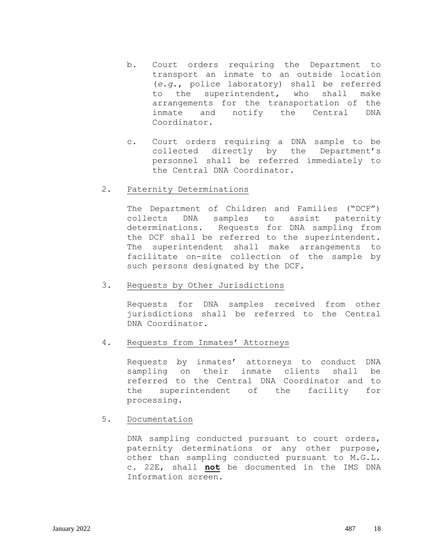- b. Court orders requiring the Department to transport an inmate to an outside location (*e.g*., police laboratory) shall be referred to the superintendent, who shall make arrangements for the transportation of the inmate and notify the Central DNA Coordinator.
- c. Court orders requiring a DNA sample to be collected directly by the Department's personnel shall be referred immediately to the Central DNA Coordinator.

#### 2. Paternity Determinations

The Department of Children and Families ("DCF") collects DNA samples to assist paternity determinations. Requests for DNA sampling from the DCF shall be referred to the superintendent. The superintendent shall make arrangements to facilitate on-site collection of the sample by such persons designated by the DCF.

## 3. Requests by Other Jurisdictions

Requests for DNA samples received from other jurisdictions shall be referred to the Central DNA Coordinator.

## 4. Requests from Inmates' Attorneys

Requests by inmates' attorneys to conduct DNA sampling on their inmate clients shall be referred to the Central DNA Coordinator and to the superintendent of the facility for processing.

## 5. Documentation

DNA sampling conducted pursuant to court orders, paternity determinations or any other purpose, other than sampling conducted pursuant to M.G.L. c. 22E, shall **not** be documented in the IMS DNA Information screen.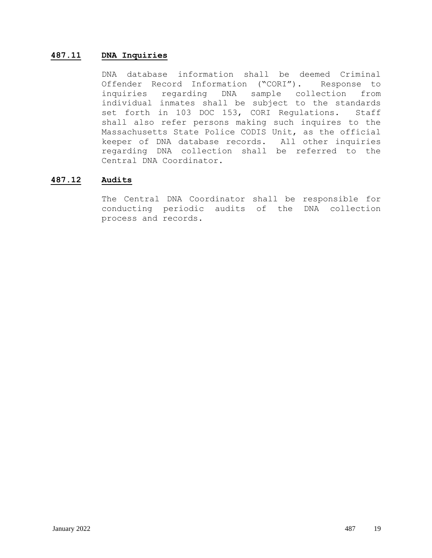## **487.11 DNA Inquiries**

DNA database information shall be deemed Criminal Offender Record Information ("CORI"). Response to inquiries regarding DNA sample collection from individual inmates shall be subject to the standards set forth in 103 DOC 153, CORI Regulations. Staff shall also refer persons making such inquires to the Massachusetts State Police CODIS Unit, as the official keeper of DNA database records. All other inquiries regarding DNA collection shall be referred to the Central DNA Coordinator.

## **487.12 Audits**

The Central DNA Coordinator shall be responsible for conducting periodic audits of the DNA collection process and records.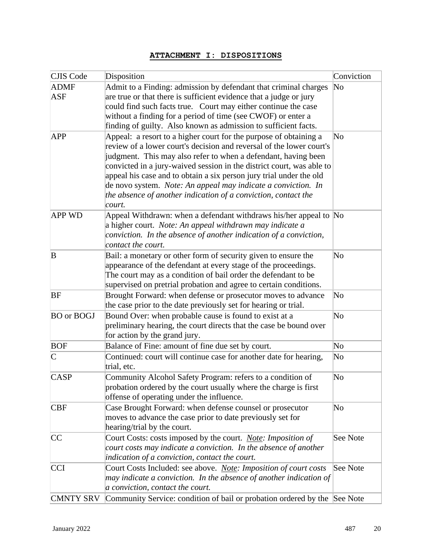# **ATTACHMENT I: DISPOSITIONS**

| CJIS Code                | Disposition                                                                                                                                                                                                                                                                                                                                                                                                                                                                                                                        | Conviction             |  |
|--------------------------|------------------------------------------------------------------------------------------------------------------------------------------------------------------------------------------------------------------------------------------------------------------------------------------------------------------------------------------------------------------------------------------------------------------------------------------------------------------------------------------------------------------------------------|------------------------|--|
| <b>ADMF</b><br>ASF       | Admit to a Finding: admission by defendant that criminal charges<br>are true or that there is sufficient evidence that a judge or jury<br>could find such facts true. Court may either continue the case<br>without a finding for a period of time (see CWOF) or enter a<br>finding of guilty. Also known as admission to sufficient facts.                                                                                                                                                                                        | $\overline{\text{No}}$ |  |
| <b>APP</b>               | Appeal: a resort to a higher court for the purpose of obtaining a<br>$\overline{\text{No}}$<br>review of a lower court's decision and reversal of the lower court's<br>judgment. This may also refer to when a defendant, having been<br>convicted in a jury-waived session in the district court, was able to<br>appeal his case and to obtain a six person jury trial under the old<br>de novo system. Note: An appeal may indicate a conviction. In<br>the absence of another indication of a conviction, contact the<br>court. |                        |  |
| <b>APP WD</b>            | Appeal Withdrawn: when a defendant withdraws his/her appeal to No<br>a higher court. Note: An appeal withdrawn may indicate a<br>conviction. In the absence of another indication of a conviction,<br>contact the court.                                                                                                                                                                                                                                                                                                           |                        |  |
| B                        | Bail: a monetary or other form of security given to ensure the<br>appearance of the defendant at every stage of the proceedings.<br>The court may as a condition of bail order the defendant to be<br>supervised on pretrial probation and agree to certain conditions.                                                                                                                                                                                                                                                            | $\overline{\text{No}}$ |  |
| BF                       | Brought Forward: when defense or prosecutor moves to advance<br>the case prior to the date previously set for hearing or trial.                                                                                                                                                                                                                                                                                                                                                                                                    | $\overline{\text{No}}$ |  |
| <b>BO</b> or <b>BOGJ</b> | Bound Over: when probable cause is found to exist at a<br>preliminary hearing, the court directs that the case be bound over<br>for action by the grand jury.                                                                                                                                                                                                                                                                                                                                                                      |                        |  |
| <b>BOF</b>               | Balance of Fine: amount of fine due set by court.                                                                                                                                                                                                                                                                                                                                                                                                                                                                                  | $\overline{\text{No}}$ |  |
| $\mathsf{C}$             | Continued: court will continue case for another date for hearing,<br>trial, etc.                                                                                                                                                                                                                                                                                                                                                                                                                                                   | $\overline{\text{No}}$ |  |
| <b>CASP</b>              | Community Alcohol Safety Program: refers to a condition of<br>probation ordered by the court usually where the charge is first<br>offense of operating under the influence.                                                                                                                                                                                                                                                                                                                                                        |                        |  |
| <b>CBF</b>               | Case Brought Forward: when defense counsel or prosecutor<br>moves to advance the case prior to date previously set for<br>hearing/trial by the court.                                                                                                                                                                                                                                                                                                                                                                              |                        |  |
| CC                       | Court Costs: costs imposed by the court. Note: Imposition of<br>See Note<br>court costs may indicate a conviction. In the absence of another<br>indication of a conviction, contact the court.                                                                                                                                                                                                                                                                                                                                     |                        |  |
| <b>CCI</b>               | Court Costs Included: see above. <i>Note: Imposition of court costs</i><br>See Note<br>may indicate a conviction. In the absence of another indication of<br>a conviction, contact the court.                                                                                                                                                                                                                                                                                                                                      |                        |  |
| <b>CMNTY SRV</b>         | Community Service: condition of bail or probation ordered by the See Note                                                                                                                                                                                                                                                                                                                                                                                                                                                          |                        |  |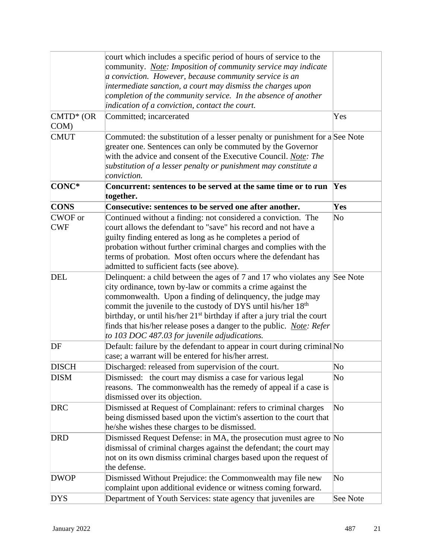|                       | court which includes a specific period of hours of service to the<br>community. Note: Imposition of community service may indicate<br>a conviction. However, because community service is an<br>intermediate sanction, a court may dismiss the charges upon<br>completion of the community service. In the absence of another<br>indication of a conviction, contact the court.                                                                                                                  |                        |
|-----------------------|--------------------------------------------------------------------------------------------------------------------------------------------------------------------------------------------------------------------------------------------------------------------------------------------------------------------------------------------------------------------------------------------------------------------------------------------------------------------------------------------------|------------------------|
| $CMTD^*$ (OR<br>COM)  | Committed; incarcerated                                                                                                                                                                                                                                                                                                                                                                                                                                                                          | Yes                    |
| <b>CMUT</b>           | Commuted: the substitution of a lesser penalty or punishment for a See Note<br>greater one. Sentences can only be commuted by the Governor<br>with the advice and consent of the Executive Council. Note: The<br>substitution of a lesser penalty or punishment may constitute a<br>conviction.                                                                                                                                                                                                  |                        |
| CONC*                 | Concurrent: sentences to be served at the same time or to run<br>together.                                                                                                                                                                                                                                                                                                                                                                                                                       | Yes                    |
| <b>CONS</b>           | Consecutive: sentences to be served one after another.                                                                                                                                                                                                                                                                                                                                                                                                                                           | Yes                    |
| CWOF or<br><b>CWF</b> | Continued without a finding: not considered a conviction. The<br>court allows the defendant to "save" his record and not have a<br>guilty finding entered as long as he completes a period of<br>probation without further criminal charges and complies with the<br>terms of probation. Most often occurs where the defendant has<br>admitted to sufficient facts (see above).                                                                                                                  | $\overline{\text{No}}$ |
| <b>DEL</b>            | Delinquent: a child between the ages of 7 and 17 who violates any See Note<br>city ordinance, town by-law or commits a crime against the<br>commonwealth. Upon a finding of delinquency, the judge may<br>commit the juvenile to the custody of DYS until his/her 18 <sup>th</sup><br>birthday, or until his/her $21st$ birthday if after a jury trial the court<br>finds that his/her release poses a danger to the public. <i>Note: Refer</i><br>to 103 DOC 487.03 for juvenile adjudications. |                        |
| DF                    | Default: failure by the defendant to appear in court during criminal No<br>case; a warrant will be entered for his/her arrest.                                                                                                                                                                                                                                                                                                                                                                   |                        |
| <b>DISCH</b>          | Discharged: released from supervision of the court.                                                                                                                                                                                                                                                                                                                                                                                                                                              | $\overline{\text{No}}$ |
| <b>DISM</b>           | Dismissed: the court may dismiss a case for various legal<br>reasons. The commonwealth has the remedy of appeal if a case is<br>dismissed over its objection.                                                                                                                                                                                                                                                                                                                                    | $\overline{\text{No}}$ |
| <b>DRC</b>            | Dismissed at Request of Complainant: refers to criminal charges<br>being dismissed based upon the victim's assertion to the court that<br>he/she wishes these charges to be dismissed.                                                                                                                                                                                                                                                                                                           | $\overline{\text{No}}$ |
| <b>DRD</b>            | Dismissed Request Defense: in MA, the prosecution must agree to No<br>dismissal of criminal charges against the defendant; the court may<br>not on its own dismiss criminal charges based upon the request of<br>the defense.                                                                                                                                                                                                                                                                    |                        |
| <b>DWOP</b>           | Dismissed Without Prejudice: the Commonwealth may file new<br>complaint upon additional evidence or witness coming forward.                                                                                                                                                                                                                                                                                                                                                                      | $\overline{\text{No}}$ |
| <b>DYS</b>            | Department of Youth Services: state agency that juveniles are                                                                                                                                                                                                                                                                                                                                                                                                                                    | See Note               |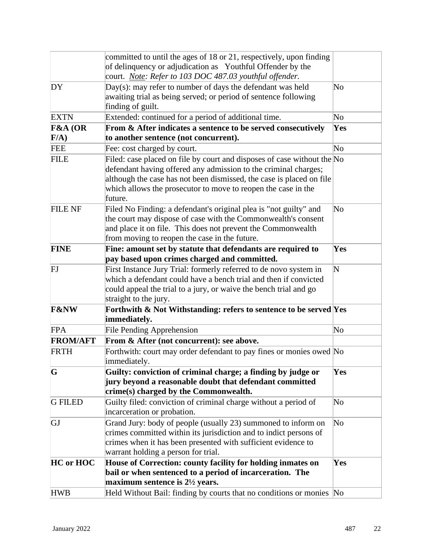|                 | committed to until the ages of 18 or 21, respectively, upon finding                                                                   |                        |
|-----------------|---------------------------------------------------------------------------------------------------------------------------------------|------------------------|
|                 | of delinquency or adjudication as Youthful Offender by the                                                                            |                        |
|                 | court. Note: Refer to 103 DOC 487.03 youthful offender.                                                                               |                        |
| DY              | $Day(s)$ : may refer to number of days the defendant was held                                                                         | $\rm No$               |
|                 | awaiting trial as being served; or period of sentence following                                                                       |                        |
|                 | finding of guilt.                                                                                                                     |                        |
| <b>EXTN</b>     | Extended: continued for a period of additional time.                                                                                  | No                     |
| F&A (OR         | From & After indicates a sentence to be served consecutively                                                                          | Yes                    |
| $F/A$ )         | to another sentence (not concurrent).                                                                                                 |                        |
| <b>FEE</b>      | Fee: cost charged by court.                                                                                                           | No                     |
| <b>FILE</b>     | Filed: case placed on file by court and disposes of case without the $No$                                                             |                        |
|                 | defendant having offered any admission to the criminal charges;                                                                       |                        |
|                 | although the case has not been dismissed, the case is placed on file                                                                  |                        |
|                 | which allows the prosecutor to move to reopen the case in the                                                                         |                        |
|                 | future.                                                                                                                               |                        |
| <b>FILE NF</b>  | Filed No Finding: a defendant's original plea is "not guilty" and                                                                     | $\overline{\text{No}}$ |
|                 | the court may dispose of case with the Commonwealth's consent                                                                         |                        |
|                 | and place it on file. This does not prevent the Commonwealth                                                                          |                        |
|                 | from moving to reopen the case in the future.                                                                                         |                        |
| <b>FINE</b>     | Fine: amount set by statute that defendants are required to                                                                           | Yes                    |
|                 | pay based upon crimes charged and committed.                                                                                          |                        |
| FJ              | First Instance Jury Trial: formerly referred to de novo system in<br>which a defendant could have a bench trial and then if convicted | $\mathbf N$            |
|                 | could appeal the trial to a jury, or waive the bench trial and go                                                                     |                        |
|                 | straight to the jury.                                                                                                                 |                        |
| <b>F&amp;NW</b> | Forthwith & Not Withstanding: refers to sentence to be served Yes                                                                     |                        |
|                 | immediately.                                                                                                                          |                        |
| <b>FPA</b>      | <b>File Pending Apprehension</b>                                                                                                      | $\overline{\text{No}}$ |
| <b>FROM/AFT</b> | From & After (not concurrent): see above.                                                                                             |                        |
| <b>FRTH</b>     | Forthwith: court may order defendant to pay fines or monies owed No                                                                   |                        |
|                 | immediately.                                                                                                                          |                        |
| G               | Guilty: conviction of criminal charge; a finding by judge or                                                                          | Yes                    |
|                 | jury beyond a reasonable doubt that defendant committed                                                                               |                        |
|                 | crime(s) charged by the Commonwealth.                                                                                                 |                        |
| <b>GFILED</b>   | Guilty filed: conviction of criminal charge without a period of                                                                       | $\overline{\text{No}}$ |
|                 | incarceration or probation.                                                                                                           |                        |
| GJ              | Grand Jury: body of people (usually 23) summoned to inform on                                                                         | $\rm No$               |
|                 | crimes committed within its jurisdiction and to indict persons of                                                                     |                        |
|                 | crimes when it has been presented with sufficient evidence to                                                                         |                        |
|                 | warrant holding a person for trial.                                                                                                   |                        |
| HC or HOC       | House of Correction: county facility for holding inmates on                                                                           | Yes                    |
|                 | bail or when sentenced to a period of incarceration. The                                                                              |                        |
|                 | maximum sentence is $2\frac{1}{2}$ years.                                                                                             |                        |
| <b>HWB</b>      | Held Without Bail: finding by courts that no conditions or monies No                                                                  |                        |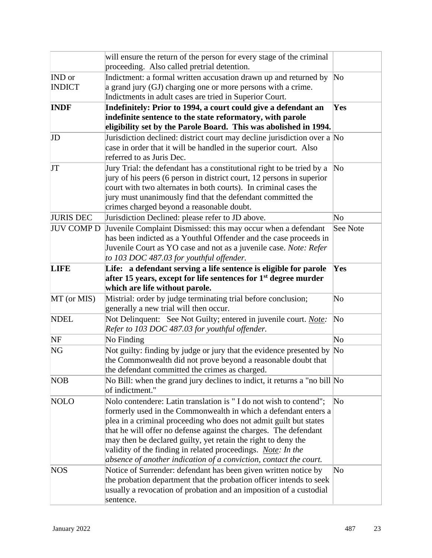|                   | will ensure the return of the person for every stage of the criminal<br>proceeding. Also called pretrial detention.           |                        |
|-------------------|-------------------------------------------------------------------------------------------------------------------------------|------------------------|
| IND or            | Indictment: a formal written accusation drawn up and returned by                                                              | $\overline{\text{No}}$ |
| <b>INDICT</b>     | a grand jury (GJ) charging one or more persons with a crime.                                                                  |                        |
|                   | Indictments in adult cases are tried in Superior Court.                                                                       |                        |
| <b>INDF</b>       | Indefinitely: Prior to 1994, a court could give a defendant an                                                                | Yes                    |
|                   | indefinite sentence to the state reformatory, with parole<br>eligibility set by the Parole Board. This was abolished in 1994. |                        |
| JD                | Jurisdiction declined: district court may decline jurisdiction over a No                                                      |                        |
|                   | case in order that it will be handled in the superior court. Also                                                             |                        |
|                   | referred to as Juris Dec.                                                                                                     |                        |
| JT                | Jury Trial: the defendant has a constitutional right to be tried by a                                                         | $\overline{\text{No}}$ |
|                   | jury of his peers (6 person in district court, 12 persons in superior                                                         |                        |
|                   | court with two alternates in both courts). In criminal cases the                                                              |                        |
|                   | jury must unanimously find that the defendant committed the                                                                   |                        |
|                   | crimes charged beyond a reasonable doubt.                                                                                     |                        |
| <b>JURIS DEC</b>  | Jurisdiction Declined: please refer to JD above.                                                                              | No                     |
| <b>JUV COMP D</b> | Juvenile Complaint Dismissed: this may occur when a defendant                                                                 | See Note               |
|                   | has been indicted as a Youthful Offender and the case proceeds in                                                             |                        |
|                   | Juvenile Court as YO case and not as a juvenile case. Note: Refer                                                             |                        |
|                   | to 103 DOC 487.03 for youthful offender.                                                                                      |                        |
| <b>LIFE</b>       | Life: a defendant serving a life sentence is eligible for parole                                                              | Yes                    |
|                   | after 15 years, except for life sentences for 1 <sup>st</sup> degree murder                                                   |                        |
|                   | which are life without parole.                                                                                                |                        |
| MT (or MIS)       | Mistrial: order by judge terminating trial before conclusion;                                                                 | $\rm No$               |
|                   | generally a new trial will then occur.                                                                                        |                        |
| <b>NDEL</b>       | Not Delinquent: See Not Guilty; entered in juvenile court. <i>Note</i> :                                                      | No                     |
|                   | Refer to 103 DOC 487.03 for youthful offender.                                                                                |                        |
| NF                | No Finding                                                                                                                    | No                     |
| NG                | Not guilty: finding by judge or jury that the evidence presented by No                                                        |                        |
|                   | the Commonwealth did not prove beyond a reasonable doubt that                                                                 |                        |
|                   | the defendant committed the crimes as charged.                                                                                |                        |
| <b>NOB</b>        | No Bill: when the grand jury declines to indict, it returns a "no bill No                                                     |                        |
|                   | of indictment."                                                                                                               |                        |
| <b>NOLO</b>       | Nolo contendere: Latin translation is "I do not wish to contend";                                                             | No                     |
|                   | formerly used in the Commonwealth in which a defendant enters a                                                               |                        |
|                   | plea in a criminal proceeding who does not admit guilt but states                                                             |                        |
|                   | that he will offer no defense against the charges. The defendant                                                              |                        |
|                   | may then be declared guilty, yet retain the right to deny the                                                                 |                        |
|                   | validity of the finding in related proceedings. <i>Note: In the</i>                                                           |                        |
|                   | absence of another indication of a conviction, contact the court.                                                             |                        |
| <b>NOS</b>        | Notice of Surrender: defendant has been given written notice by                                                               | No                     |
|                   | the probation department that the probation officer intends to seek                                                           |                        |
|                   | usually a revocation of probation and an imposition of a custodial                                                            |                        |
|                   | sentence.                                                                                                                     |                        |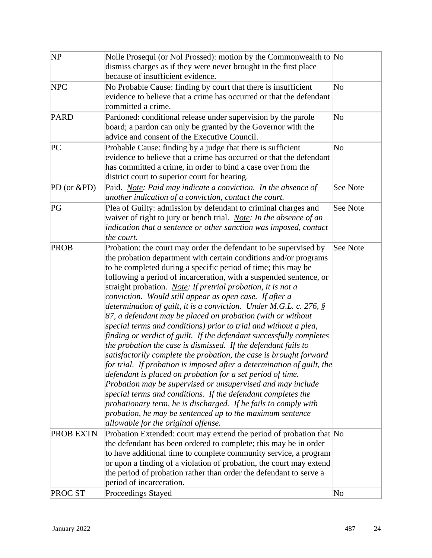| <b>NP</b>        | Nolle Prosequi (or Nol Prossed): motion by the Commonwealth to No<br>dismiss charges as if they were never brought in the first place<br>because of insufficient evidence.                                                                                                                                                                                                                                                                                                                                                                                                                                                                                                                                                                                                                                                                                                                                                                                                                                                                                                                                                                                                                                                                                                              |          |  |
|------------------|-----------------------------------------------------------------------------------------------------------------------------------------------------------------------------------------------------------------------------------------------------------------------------------------------------------------------------------------------------------------------------------------------------------------------------------------------------------------------------------------------------------------------------------------------------------------------------------------------------------------------------------------------------------------------------------------------------------------------------------------------------------------------------------------------------------------------------------------------------------------------------------------------------------------------------------------------------------------------------------------------------------------------------------------------------------------------------------------------------------------------------------------------------------------------------------------------------------------------------------------------------------------------------------------|----------|--|
| <b>NPC</b>       | No Probable Cause: finding by court that there is insufficient<br>No<br>evidence to believe that a crime has occurred or that the defendant<br>committed a crime.                                                                                                                                                                                                                                                                                                                                                                                                                                                                                                                                                                                                                                                                                                                                                                                                                                                                                                                                                                                                                                                                                                                       |          |  |
| <b>PARD</b>      | Pardoned: conditional release under supervision by the parole<br>No<br>board; a pardon can only be granted by the Governor with the<br>advice and consent of the Executive Council.                                                                                                                                                                                                                                                                                                                                                                                                                                                                                                                                                                                                                                                                                                                                                                                                                                                                                                                                                                                                                                                                                                     |          |  |
| PC               | Probable Cause: finding by a judge that there is sufficient<br>evidence to believe that a crime has occurred or that the defendant<br>has committed a crime, in order to bind a case over from the<br>district court to superior court for hearing.                                                                                                                                                                                                                                                                                                                                                                                                                                                                                                                                                                                                                                                                                                                                                                                                                                                                                                                                                                                                                                     | No       |  |
| PD (or $\&$ PD)  | Paid. <i>Note: Paid may indicate a conviction. In the absence of</i><br>another indication of a conviction, contact the court.                                                                                                                                                                                                                                                                                                                                                                                                                                                                                                                                                                                                                                                                                                                                                                                                                                                                                                                                                                                                                                                                                                                                                          | See Note |  |
| PG               | Plea of Guilty: admission by defendant to criminal charges and<br>waiver of right to jury or bench trial. <i>Note: In the absence of an</i><br>indication that a sentence or other sanction was imposed, contact<br>the court.                                                                                                                                                                                                                                                                                                                                                                                                                                                                                                                                                                                                                                                                                                                                                                                                                                                                                                                                                                                                                                                          | See Note |  |
| PROB             | Probation: the court may order the defendant to be supervised by<br>the probation department with certain conditions and/or programs<br>to be completed during a specific period of time; this may be<br>following a period of incarceration, with a suspended sentence, or<br>straight probation. <i>Note: If pretrial probation, it is not a</i><br>conviction. Would still appear as open case. If after a<br>determination of guilt, it is a conviction. Under M.G.L. c. 276, $\S$<br>87, a defendant may be placed on probation (with or without<br>special terms and conditions) prior to trial and without a plea,<br>finding or verdict of guilt. If the defendant successfully completes<br>the probation the case is dismissed. If the defendant fails to<br>satisfactorily complete the probation, the case is brought forward<br>for trial. If probation is imposed after a determination of guilt, the<br>defendant is placed on probation for a set period of time.<br>Probation may be supervised or unsupervised and may include<br>special terms and conditions. If the defendant completes the<br>probationary term, he is discharged. If he fails to comply with<br>probation, he may be sentenced up to the maximum sentence<br>allowable for the original offense. | See Note |  |
| <b>PROB EXTN</b> | Probation Extended: court may extend the period of probation that No<br>the defendant has been ordered to complete; this may be in order<br>to have additional time to complete community service, a program<br>or upon a finding of a violation of probation, the court may extend<br>the period of probation rather than order the defendant to serve a<br>period of incarceration.                                                                                                                                                                                                                                                                                                                                                                                                                                                                                                                                                                                                                                                                                                                                                                                                                                                                                                   |          |  |
| <b>PROCST</b>    | Proceedings Stayed                                                                                                                                                                                                                                                                                                                                                                                                                                                                                                                                                                                                                                                                                                                                                                                                                                                                                                                                                                                                                                                                                                                                                                                                                                                                      | No       |  |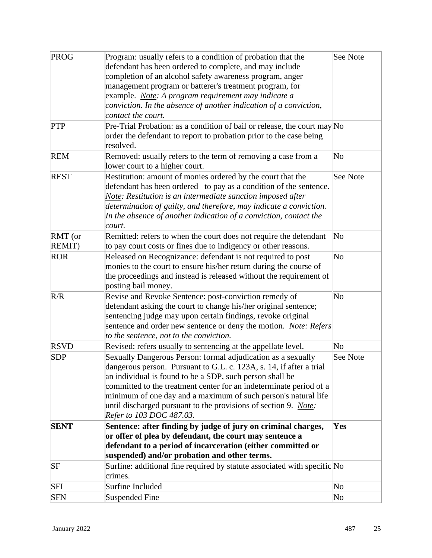| PROG        | Program: usually refers to a condition of probation that the<br>defendant has been ordered to complete, and may include<br>completion of an alcohol safety awareness program, anger<br>management program or batterer's treatment program, for<br>example. <i>Note: A program requirement may indicate a</i><br>conviction. In the absence of another indication of a conviction,<br>contact the court.                                        | See Note               |
|-------------|------------------------------------------------------------------------------------------------------------------------------------------------------------------------------------------------------------------------------------------------------------------------------------------------------------------------------------------------------------------------------------------------------------------------------------------------|------------------------|
| <b>PTP</b>  | Pre-Trial Probation: as a condition of bail or release, the court may $No$<br>order the defendant to report to probation prior to the case being<br>resolved.                                                                                                                                                                                                                                                                                  |                        |
| <b>REM</b>  | Removed: usually refers to the term of removing a case from a<br>$\rm No$<br>lower court to a higher court.                                                                                                                                                                                                                                                                                                                                    |                        |
| <b>REST</b> | Restitution: amount of monies ordered by the court that the<br>See Note<br>defendant has been ordered to pay as a condition of the sentence.<br>Note: Restitution is an intermediate sanction imposed after<br>determination of guilty, and therefore, may indicate a conviction.<br>In the absence of another indication of a conviction, contact the<br>court.                                                                               |                        |
| RMT (or     | Remitted: refers to when the court does not require the defendant                                                                                                                                                                                                                                                                                                                                                                              | $\overline{\text{No}}$ |
| REMIT)      | to pay court costs or fines due to indigency or other reasons.                                                                                                                                                                                                                                                                                                                                                                                 |                        |
| <b>ROR</b>  | Released on Recognizance: defendant is not required to post<br>$\rm No$<br>monies to the court to ensure his/her return during the course of<br>the proceedings and instead is released without the requirement of<br>posting bail money.                                                                                                                                                                                                      |                        |
| R/R         | Revise and Revoke Sentence: post-conviction remedy of<br>defendant asking the court to change his/her original sentence;<br>sentencing judge may upon certain findings, revoke original<br>sentence and order new sentence or deny the motion. Note: Refers<br>to the sentence, not to the conviction.                                                                                                                                         | No                     |
| <b>RSVD</b> | Revised: refers usually to sentencing at the appellate level.                                                                                                                                                                                                                                                                                                                                                                                  | $\rm No$               |
| <b>SDP</b>  | Sexually Dangerous Person: formal adjudication as a sexually<br>dangerous person. Pursuant to G.L. c. 123A, s. 14, if after a trial<br>an individual is found to be a SDP, such person shall be<br>committed to the treatment center for an indeterminate period of a<br>minimum of one day and a maximum of such person's natural life<br>until discharged pursuant to the provisions of section 9. <i>Note</i> :<br>Refer to 103 DOC 487.03. | See Note               |
| <b>SENT</b> | Sentence: after finding by judge of jury on criminal charges,<br>or offer of plea by defendant, the court may sentence a<br>defendant to a period of incarceration (either committed or<br>suspended) and/or probation and other terms.                                                                                                                                                                                                        | Yes                    |
| SF          | Surfine: additional fine required by statute associated with specific No<br>crimes.                                                                                                                                                                                                                                                                                                                                                            |                        |
| SFI         | Surfine Included                                                                                                                                                                                                                                                                                                                                                                                                                               | $\overline{\text{No}}$ |
| <b>SFN</b>  | Suspended Fine                                                                                                                                                                                                                                                                                                                                                                                                                                 | $\overline{\text{No}}$ |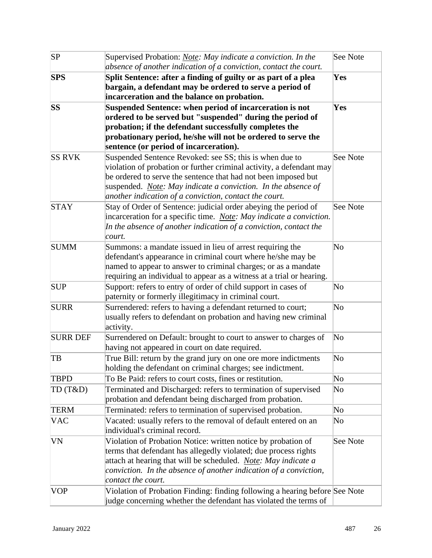| SP              | Supervised Probation: <i>Note: May indicate a conviction. In the</i><br>absence of another indication of a conviction, contact the court.                                                                                                                                                                                           | See Note               |
|-----------------|-------------------------------------------------------------------------------------------------------------------------------------------------------------------------------------------------------------------------------------------------------------------------------------------------------------------------------------|------------------------|
| <b>SPS</b>      | Split Sentence: after a finding of guilty or as part of a plea<br>bargain, a defendant may be ordered to serve a period of<br>incarceration and the balance on probation.                                                                                                                                                           | Yes                    |
| <b>SS</b>       | Suspended Sentence: when period of incarceration is not<br>ordered to be served but "suspended" during the period of<br>probation; if the defendant successfully completes the<br>probationary period, he/she will not be ordered to serve the<br>sentence (or period of incarceration).                                            | Yes                    |
| <b>SS RVK</b>   | Suspended Sentence Revoked: see SS; this is when due to<br>violation of probation or further criminal activity, a defendant may<br>be ordered to serve the sentence that had not been imposed but<br>suspended. <i>Note: May indicate a conviction. In the absence of</i><br>another indication of a conviction, contact the court. | See Note               |
| <b>STAY</b>     | Stay of Order of Sentence: judicial order abeying the period of<br>incarceration for a specific time. <i>Note: May indicate a conviction</i> .<br>In the absence of another indication of a conviction, contact the<br>court.                                                                                                       |                        |
| <b>SUMM</b>     | Summons: a mandate issued in lieu of arrest requiring the<br>defendant's appearance in criminal court where he/she may be<br>named to appear to answer to criminal charges; or as a mandate<br>requiring an individual to appear as a witness at a trial or hearing.                                                                | $\rm No$               |
| <b>SUP</b>      | Support: refers to entry of order of child support in cases of<br>paternity or formerly illegitimacy in criminal court.                                                                                                                                                                                                             | No                     |
| <b>SURR</b>     | Surrendered: refers to having a defendant returned to court;<br>usually refers to defendant on probation and having new criminal<br>activity.                                                                                                                                                                                       | $\rm No$               |
| <b>SURR DEF</b> | Surrendered on Default: brought to court to answer to charges of<br>having not appeared in court on date required.                                                                                                                                                                                                                  | $\overline{\text{No}}$ |
| TB              | True Bill: return by the grand jury on one ore more indictments<br>holding the defendant on criminal charges; see indictment.                                                                                                                                                                                                       | $\rm No$               |
| <b>TBPD</b>     | To Be Paid: refers to court costs, fines or restitution.                                                                                                                                                                                                                                                                            | No                     |
| TD(T&D)         | Terminated and Discharged: refers to termination of supervised<br>probation and defendant being discharged from probation.                                                                                                                                                                                                          | $\overline{\text{No}}$ |
| <b>TERM</b>     | Terminated: refers to termination of supervised probation.                                                                                                                                                                                                                                                                          | $\rm No$               |
| <b>VAC</b>      | Vacated: usually refers to the removal of default entered on an<br>No<br>individual's criminal record.                                                                                                                                                                                                                              |                        |
| VN              | Violation of Probation Notice: written notice by probation of<br>terms that defendant has allegedly violated; due process rights<br>attach at hearing that will be scheduled. Note: May indicate a<br>conviction. In the absence of another indication of a conviction,<br>contact the court.                                       | See Note               |
| VOP             | Violation of Probation Finding: finding following a hearing before See Note<br>judge concerning whether the defendant has violated the terms of                                                                                                                                                                                     |                        |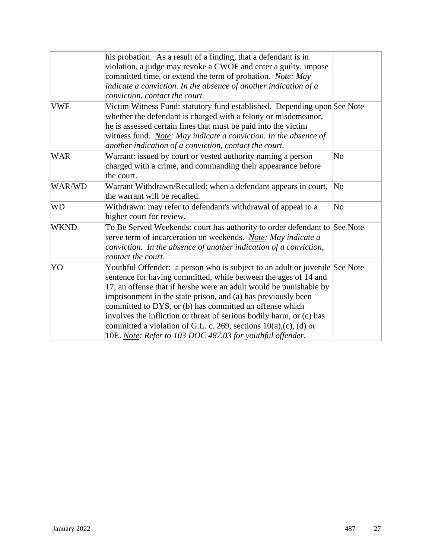|             | his probation. As a result of a finding, that a defendant is in<br>violation, a judge may revoke a CWOF and enter a guilty, impose |                        |
|-------------|------------------------------------------------------------------------------------------------------------------------------------|------------------------|
|             | committed time, or extend the term of probation. Note: May                                                                         |                        |
|             | indicate a conviction. In the absence of another indication of a                                                                   |                        |
|             | conviction, contact the court.                                                                                                     |                        |
| <b>VWF</b>  | Victim Witness Fund: statutory fund established. Depending upon See Note                                                           |                        |
|             | whether the defendant is charged with a felony or misdemeanor,                                                                     |                        |
|             | he is assessed certain fines that must be paid into the victim                                                                     |                        |
|             | witness fund. <i>Note: May indicate a conviction. In the absence of</i>                                                            |                        |
|             | another indication of a conviction, contact the court.                                                                             |                        |
| <b>WAR</b>  | Warrant: issued by court or vested authority naming a person                                                                       | No                     |
|             | charged with a crime, and commanding their appearance before                                                                       |                        |
|             | the court.                                                                                                                         |                        |
| WAR/WD      | Warrant Withdrawn/Recalled: when a defendant appears in court,                                                                     | $\overline{\rm No}$    |
|             | the warrant will be recalled.                                                                                                      |                        |
| <b>WD</b>   | Withdrawn: may refer to defendant's withdrawal of appeal to a                                                                      | $\overline{\text{No}}$ |
|             | higher court for review.                                                                                                           |                        |
| <b>WKND</b> | To Be Served Weekends: court has authority to order defendant to See Note                                                          |                        |
|             | serve term of incarceration on weekends. Note: May indicate a                                                                      |                        |
|             | conviction. In the absence of another indication of a conviction,                                                                  |                        |
|             | contact the court.                                                                                                                 |                        |
| YO          | Youthful Offender: a person who is subject to an adult or juvenile See Note                                                        |                        |
|             | sentence for having committed, while between the ages of 14 and                                                                    |                        |
|             | 17, an offense that if he/she were an adult would be punishable by                                                                 |                        |
|             | imprisonment in the state prison, and (a) has previously been                                                                      |                        |
|             | committed to DYS, or (b) has committed an offense which                                                                            |                        |
|             | involves the infliction or threat of serious bodily harm, or (c) has                                                               |                        |
|             | committed a violation of G.L. c. 269, sections $10(a)$ , (c), (d) or                                                               |                        |
|             | 10E. Note: Refer to 103 DOC 487.03 for youthful offender.                                                                          |                        |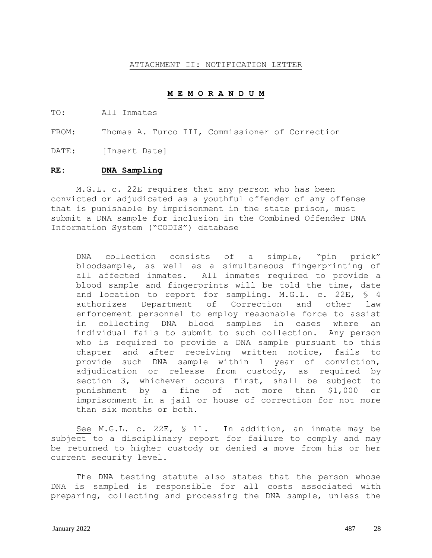#### ATTACHMENT II: NOTIFICATION LETTER

#### **M E M O R A N D U M**

TO: All Inmates

FROM: Thomas A. Turco III, Commissioner of Correction

DATE: [Insert Date]

#### **RE: DNA Sampling**

M.G.L. c. 22E requires that any person who has been convicted or adjudicated as a youthful offender of any offense that is punishable by imprisonment in the state prison, must submit a DNA sample for inclusion in the Combined Offender DNA Information System ("CODIS") database

DNA collection consists of a simple, "pin prick" bloodsample, as well as a simultaneous fingerprinting of all affected inmates. All inmates required to provide a blood sample and fingerprints will be told the time, date and location to report for sampling. M.G.L. c. 22E, § 4 authorizes Department of Correction and other law enforcement personnel to employ reasonable force to assist in collecting DNA blood samples in cases where an individual fails to submit to such collection. Any person who is required to provide a DNA sample pursuant to this chapter and after receiving written notice, fails to provide such DNA sample within 1 year of conviction, adjudication or release from custody, as required by section 3, whichever occurs first, shall be subject to punishment by a fine of not more than \$1,000 or imprisonment in a jail or house of correction for not more than six months or both.

See M.G.L. c. 22E, § 11. In addition, an inmate may be subject to a disciplinary report for failure to comply and may be returned to higher custody or denied a move from his or her current security level.

The DNA testing statute also states that the person whose DNA is sampled is responsible for all costs associated with preparing, collecting and processing the DNA sample, unless the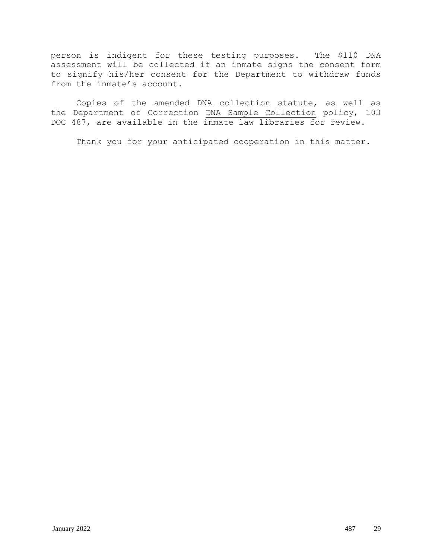person is indigent for these testing purposes. The \$110 DNA assessment will be collected if an inmate signs the consent form to signify his/her consent for the Department to withdraw funds from the inmate's account.

Copies of the amended DNA collection statute, as well as the Department of Correction DNA Sample Collection policy, 103 DOC 487, are available in the inmate law libraries for review.

Thank you for your anticipated cooperation in this matter.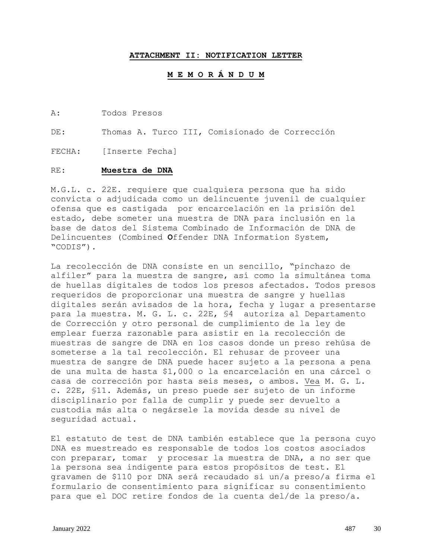#### **ATTACHMENT II: NOTIFICATION LETTER**

#### **M E M O R Á N D U M**

A: Todos Presos

DE: Thomas A. Turco III, Comisionado de Corrección

FECHA: [Inserte Fecha]

#### RE: **Muestra de DNA**

M.G.L. c. 22E. requiere que cualquiera persona que ha sido convicta o adjudicada como un delincuente juvenil de cualquier ofensa que es castigada por encarcelación en la prisión del estado, debe someter una muestra de DNA para inclusión en la base de datos del Sistema Combinado de Información de DNA de Delincuentes (Combined **O**ffender DNA Information System, "CODIS").

La recolección de DNA consiste en un sencillo, "pinchazo de alfiler" para la muestra de sangre, así como la simultánea toma de huellas digitales de todos los presos afectados. Todos presos requeridos de proporcionar una muestra de sangre y huellas digitales serán avisados de la hora, fecha y lugar a presentarse para la muestra. M. G. L. c. 22E, §4 autoriza al Departamento de Corrección y otro personal de cumplimiento de la ley de emplear fuerza razonable para asistir en la recolección de muestras de sangre de DNA en los casos donde un preso rehúsa de someterse a la tal recolección. El rehusar de proveer una muestra de sangre de DNA puede hacer sujeto a la persona a pena de una multa de hasta \$1,000 o la encarcelación en una cárcel o casa de corrección por hasta seis meses, o ambos. Vea M. G. L. c. 22E, §11. Además, un preso puede ser sujeto de un informe disciplinario por falla de cumplir y puede ser devuelto a custodia más alta o negársele la movida desde su nivel de seguridad actual.

El estatuto de test de DNA también establece que la persona cuyo DNA es muestreado es responsable de todos los costos asociados con preparar, tomar y procesar la muestra de DNA, a no ser que la persona sea indigente para estos propósitos de test. El gravamen de \$110 por DNA será recaudado si un/a preso/a firma el formulario de consentimiento para significar su consentimiento para que el DOC retire fondos de la cuenta del/de la preso/a.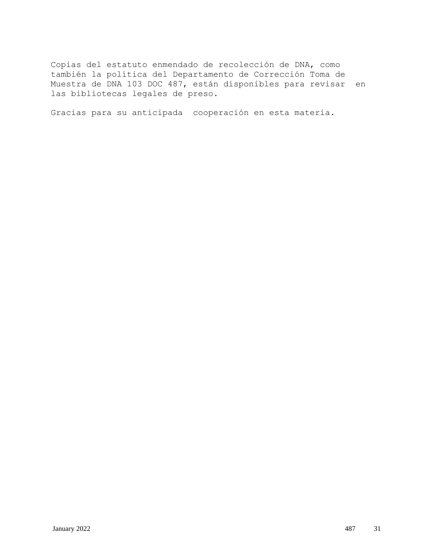Copias del estatuto enmendado de recolección de DNA, como también la política del Departamento de Corrección Toma de Muestra de DNA 103 DOC 487, están disponibles para revisar en las bibliotecas legales de preso.

Gracias para su anticipada cooperación en esta materia.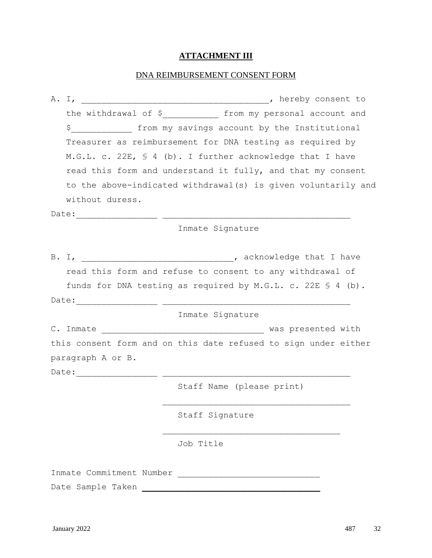# **ATTACHMENT III**

# DNA REIMBURSEMENT CONSENT FORM

|  |                          | the withdrawal of \$______________ from my personal account and      |
|--|--------------------------|----------------------------------------------------------------------|
|  | $\mathsf{S}$             | from my savings account by the Institutional                         |
|  |                          | Treasurer as reimbursement for DNA testing as required by            |
|  |                          | M.G.L. c. 22E, § 4 (b). I further acknowledge that I have            |
|  |                          | read this form and understand it fully, and that my consent          |
|  |                          | to the above-indicated withdrawal(s) is given voluntarily and        |
|  | without duress.          |                                                                      |
|  |                          |                                                                      |
|  |                          | Inmate Signature                                                     |
|  |                          |                                                                      |
|  |                          |                                                                      |
|  |                          | read this form and refuse to consent to any withdrawal of            |
|  |                          | funds for DNA testing as required by M.G.L. c. 22E $\Diamond$ 4 (b). |
|  |                          |                                                                      |
|  |                          | Inmate Signature                                                     |
|  |                          |                                                                      |
|  |                          | this consent form and on this date refused to sign under either      |
|  | paragraph A or B.        |                                                                      |
|  |                          |                                                                      |
|  |                          | Staff Name (please print)                                            |
|  |                          |                                                                      |
|  |                          | Staff Signature                                                      |
|  |                          |                                                                      |
|  |                          | Job Title                                                            |
|  |                          |                                                                      |
|  | Inmate Commitment Number |                                                                      |

Date Sample Taken **\_\_\_\_\_\_\_\_\_\_\_\_\_\_\_\_\_\_\_\_\_\_\_\_\_\_\_\_\_\_\_\_\_\_\_**